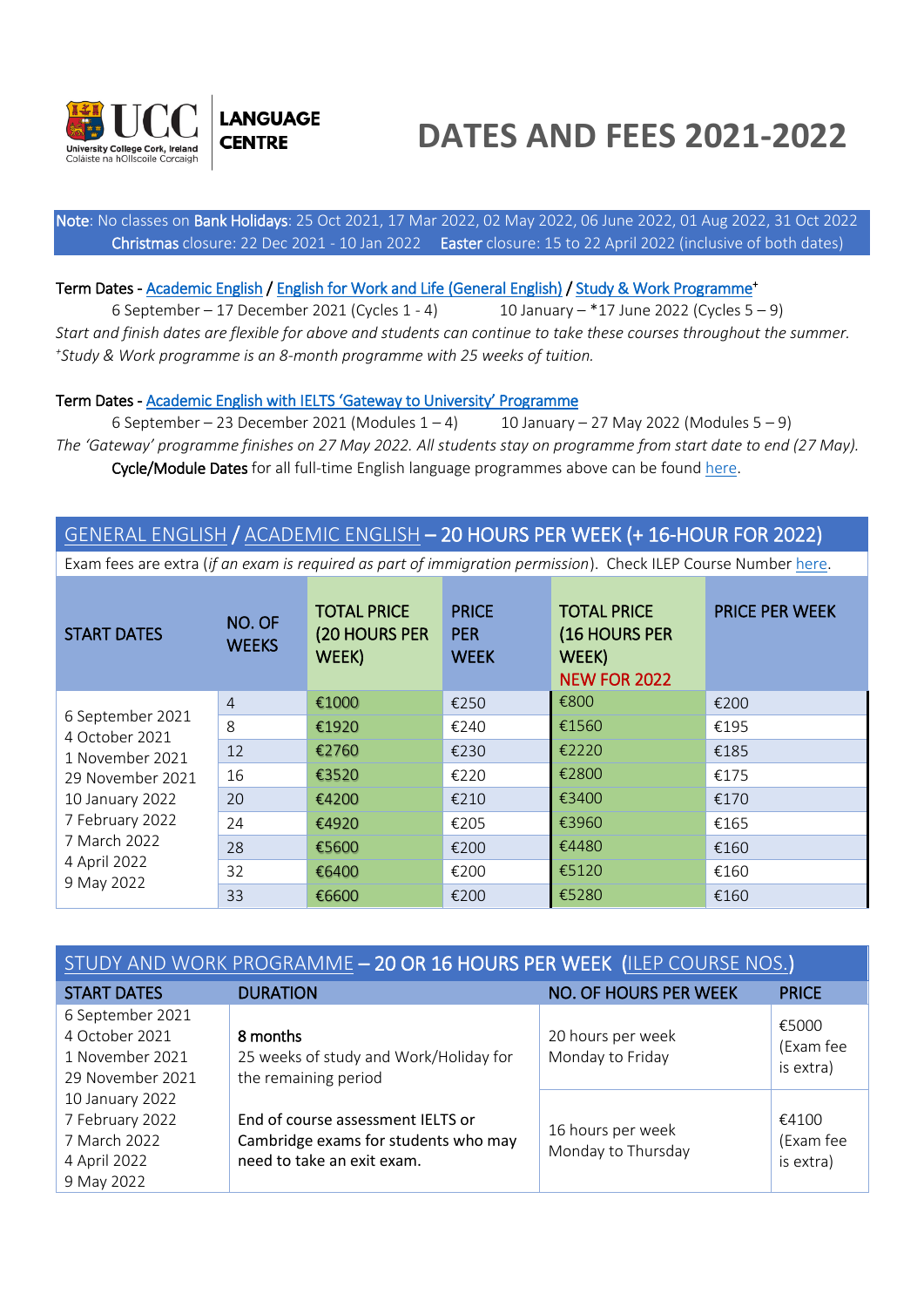



# **DATES AND FEES 2021-2022**

l Note: No classes on Bank Holidays: 25 Oct 2021, 17 Mar 2022, 02 May 2022, 06 June 2022, 01 Aug 2022, 31 Oct 2022 Christmas closure: 22 Dec 2021 - 10 Jan 2022 Easter closure: 15 to 22 April 2022 (inclusive of both dates)

#### Term Dates - [Academic English /](https://www.ucc.ie/en/esol/courses/ae/) [English for Work and Life \(General English\) /](https://www.ucc.ie/en/esol/courses/ge/) [Study & Work Programme](https://www.ucc.ie/en/esol/courses/swp/)<sup>+</sup>

6 September – 17 December 2021 (Cycles  $1 - 4$ ) 10 January – \*17 June 2022 (Cycles  $5 - 9$ ) *Start and finish dates are flexible for above and students can continue to take these courses throughout the summer. + Study & Work programme is an 8-month programme with 25 weeks of tuition.*

#### Term Dates - [Academic English with IELTS 'Gateway to University' Programme](https://www.ucc.ie/en/esol/courses/gateway/)

6 September – 23 December 2021 (Modules  $1 - 4$ ) 10 January – 27 May 2022 (Modules  $5 - 9$ ) *The 'Gateway' programme finishes on 27 May 2022. All students stay on programme from start date to end (27 May).* Cycle/Module Dates for all full-time English language programmes above can be found [here.](https://www.ucc.ie/en/esol/courses/pricelist/#term-dates-2021-22)

### [GENERAL ENGLISH](https://www.ucc.ie/en/esol/courses/ge/) / [ACADEMIC ENGLISH](https://www.ucc.ie/en/esol/courses/ae/) – 20 HOURS PER WEEK (+ 16-HOUR FOR 2022)

Exam fees are extra (*if an exam is required as part of immigration permission*). Check ILEP Course Number [here.](https://www.ucc.ie/en/esol/courses/yearoundcourses/#ilep-table)

| <b>START DATES</b>                 | NO. OF<br><b>WEEKS</b> | <b>TOTAL PRICE</b><br>(20 HOURS PER<br>WEEK) | <b>PRICE</b><br><b>PER</b><br><b>WEEK</b> | <b>TOTAL PRICE</b><br>(16 HOURS PER<br>WEEK)<br><b>NEW FOR 2022</b> | <b>PRICE PER WEEK</b> |
|------------------------------------|------------------------|----------------------------------------------|-------------------------------------------|---------------------------------------------------------------------|-----------------------|
|                                    | $\overline{4}$         | €1000                                        | €250                                      | €800                                                                | €200                  |
| 6 September 2021<br>4 October 2021 | 8                      | €1920                                        | €240                                      | €1560                                                               | €195                  |
| 1 November 2021                    | 12                     | €2760                                        | €230                                      | €2220                                                               | €185                  |
| 29 November 2021                   | 16                     | €3520                                        | €220                                      | €2800                                                               | €175                  |
| 10 January 2022                    | 20                     | €4200                                        | €210                                      | €3400                                                               | €170                  |
| 7 February 2022                    | 24                     | €4920                                        | €205                                      | €3960                                                               | €165                  |
| 7 March 2022                       | 28                     | €5600                                        | €200                                      | €4480                                                               | €160                  |
| 4 April 2022                       | 32                     | €6400                                        | €200                                      | €5120                                                               | €160                  |
| 9 May 2022                         | 33                     | €6600                                        | €200                                      | €5280                                                               | €160                  |

| STUDY AND WORK PROGRAMME - 20 OR 16 HOURS PER WEEK (ILEP COURSE NOS.)            |                                                                                                         |                                         |                                 |  |
|----------------------------------------------------------------------------------|---------------------------------------------------------------------------------------------------------|-----------------------------------------|---------------------------------|--|
| <b>START DATES</b>                                                               | <b>DURATION</b>                                                                                         | NO. OF HOURS PER WEEK                   | <b>PRICE</b>                    |  |
| 6 September 2021<br>4 October 2021<br>1 November 2021<br>29 November 2021        | 8 months<br>25 weeks of study and Work/Holiday for<br>the remaining period                              | 20 hours per week<br>Monday to Friday   | €5000<br>(Exam fee<br>is extra) |  |
| 10 January 2022<br>7 February 2022<br>7 March 2022<br>4 April 2022<br>9 May 2022 | End of course assessment IELTS or<br>Cambridge exams for students who may<br>need to take an exit exam. | 16 hours per week<br>Monday to Thursday | €4100<br>(Exam fee<br>is extra) |  |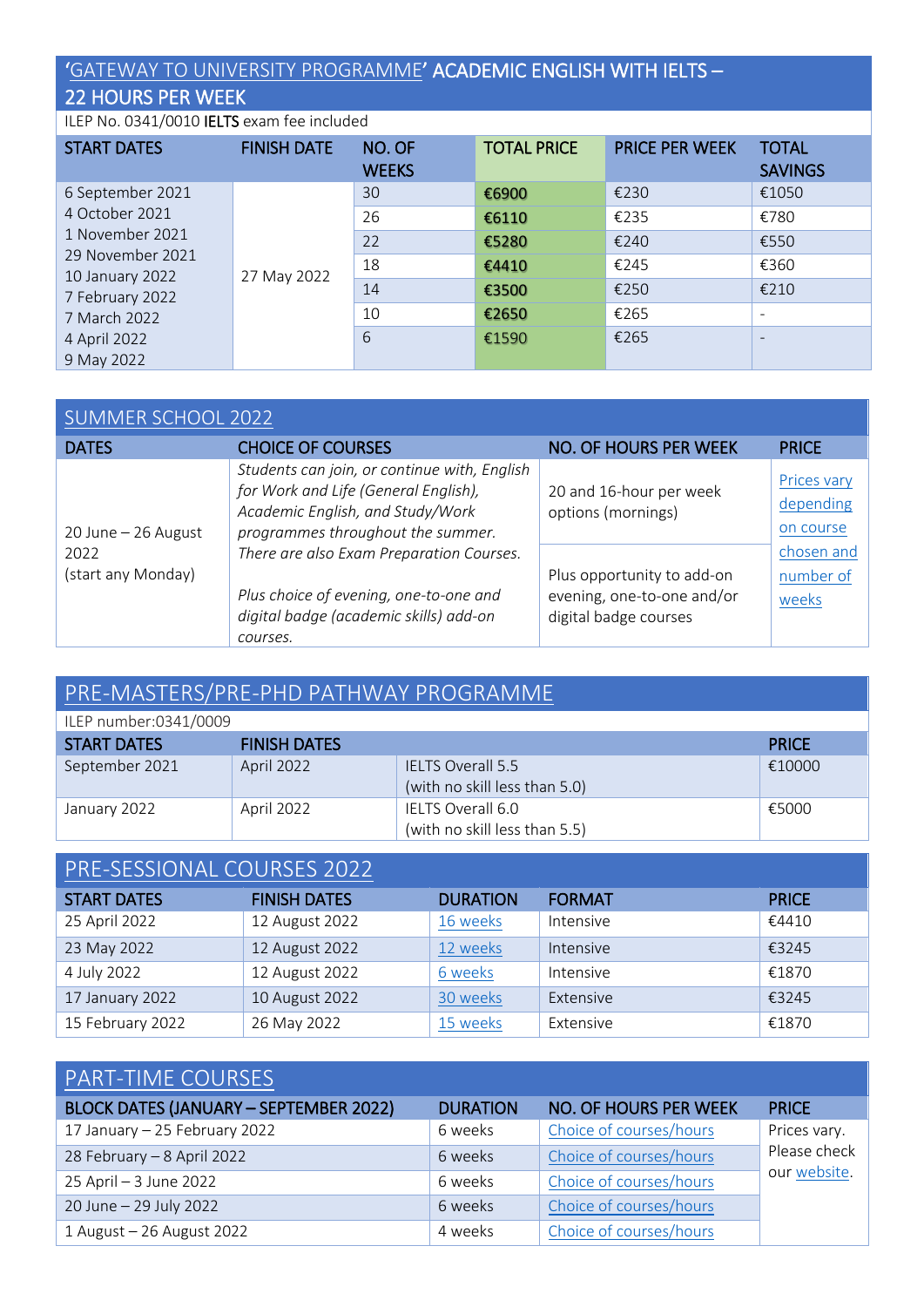### '[GATEWAY TO UNIVERSITY PROGRAMME](https://www.ucc.ie/en/esol/courses/gateway/)' ACADEMIC ENGLISH WITH IELTS –

### 22 HOURS PER WEEK

ILEP No. 0341/0010 IELTS exam fee included

| <b>START DATES</b>                  | <b>FINISH DATE</b> | NO. OF<br><b>WEEKS</b> | <b>TOTAL PRICE</b> | <b>PRICE PER WEEK</b> | <b>TOTAL</b><br><b>SAVINGS</b> |
|-------------------------------------|--------------------|------------------------|--------------------|-----------------------|--------------------------------|
| 6 September 2021                    |                    | 30                     | €6900              | €230                  | €1050                          |
| 4 October 2021                      |                    | 26                     | €6110              | €235                  | €780                           |
| 1 November 2021                     |                    | 22                     | €5280              | €240                  | €550                           |
| 29 November 2021<br>10 January 2022 | 27 May 2022        | 18                     | €4410              | €245                  | €360                           |
| 7 February 2022                     |                    | 14                     | €3500              | €250                  | €210                           |
| 7 March 2022                        |                    | 10                     | €2650              | €265                  | $\overline{\phantom{a}}$       |
| 4 April 2022                        |                    | 6                      | €1590              | €265                  | $\qquad \qquad -$              |
| 9 May 2022                          |                    |                        |                    |                       |                                |

### [SUMMER SCHOOL 2022](https://www.ucc.ie/en/esol/courses/oss20/)

| <b>DATES</b>               | <b>CHOICE OF COURSES</b>                                                                                                                                      | NO. OF HOURS PER WEEK                                                             | <b>PRICE</b>                          |
|----------------------------|---------------------------------------------------------------------------------------------------------------------------------------------------------------|-----------------------------------------------------------------------------------|---------------------------------------|
| 20 June - 26 August        | Students can join, or continue with, English<br>for Work and Life (General English),<br>Academic English, and Study/Work<br>programmes throughout the summer. | 20 and 16-hour per week<br>options (mornings)                                     | Prices vary<br>depending<br>on course |
| 2022<br>(start any Monday) | There are also Exam Preparation Courses.<br>Plus choice of evening, one-to-one and<br>digital badge (academic skills) add-on<br>courses.                      | Plus opportunity to add-on<br>evening, one-to-one and/or<br>digital badge courses | chosen and<br>number of<br>weeks      |

## [PRE-MASTERS/PRE-PHD PATHWAY PROGRAMME](https://www.ucc.ie/en/esol/courses/pre-masters/)

| ILEP number:0341/0009 |                     |                                                           |              |
|-----------------------|---------------------|-----------------------------------------------------------|--------------|
| <b>START DATES</b>    | <b>FINISH DATES</b> |                                                           | <b>PRICE</b> |
| September 2021        | April 2022          | <b>IELTS Overall 5.5</b><br>(with no skill less than 5.0) | €10000       |
| January 2022          | April 2022          | IELTS Overall 6.0<br>(with no skill less than 5.5)        | €5000        |

| PRE-SESSIONAL COURSES 2022 |                     |                 |               |              |  |
|----------------------------|---------------------|-----------------|---------------|--------------|--|
| <b>START DATES</b>         | <b>FINISH DATES</b> | <b>DURATION</b> | <b>FORMAT</b> | <b>PRICE</b> |  |
| 25 April 2022              | 12 August 2022      | 16 weeks        | Intensive     | €4410        |  |
| 23 May 2022                | 12 August 2022      | 12 weeks        | Intensive     | €3245        |  |
| 4 July 2022                | 12 August 2022      | 6 weeks         | Intensive     | €1870        |  |
| 17 January 2022            | 10 August 2022      | 30 weeks        | Extensive     | €3245        |  |
| 15 February 2022           | 26 May 2022         | 15 weeks        | Extensive     | €1870        |  |

### [PART-TIME COURSES](https://www.ucc.ie/en/esol/courses/parttimecourses/)

| <b>BLOCK DATES (JANUARY - SEPTEMBER 2022)</b> | <b>DURATION</b> | <b>NO. OF HOURS PER WEEK</b> | <b>PRICE</b> |
|-----------------------------------------------|-----------------|------------------------------|--------------|
| 17 January - 25 February 2022                 | 6 weeks         | Choice of courses/hours      | Prices vary. |
| 28 February - 8 April 2022                    | 6 weeks         | Choice of courses/hours      | Please check |
| 25 April - 3 June 2022                        | 6 weeks         | Choice of courses/hours      | our website. |
| 20 June - 29 July 2022                        | 6 weeks         | Choice of courses/hours      |              |
| 1 August - 26 August 2022                     | 4 weeks         | Choice of courses/hours      |              |